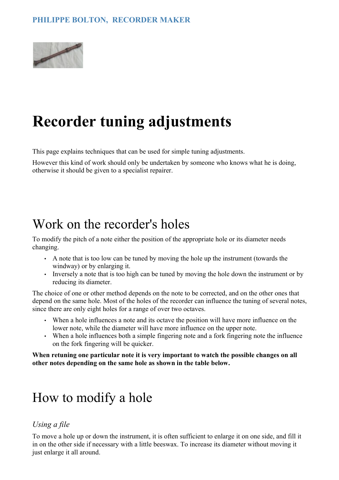#### **PHILIPPE BOLTON, RECORDER MAKER**



# **Recorder tuning adjustments**

This page explains techniques that can be used for simple tuning adjustments.

However this kind of work should only be undertaken by someone who knows what he is doing, otherwise it should be given to a specialist repairer.

## Work on the recorder's holes

To modify the pitch of a note either the position of the appropriate hole or its diameter needs changing.

- A note that is too low can be tuned by moving the hole up the instrument (towards the windway) or by enlarging it.
- Inversely a note that is too high can be tuned by moving the hole down the instrument or by reducing its diameter.

The choice of one or other method depends on the note to be corrected, and on the other ones that depend on the same hole. Most of the holes of the recorder can influence the tuning of several notes, since there are only eight holes for a range of over two octaves.

- When a hole influences a note and its octave the position will have more influence on the lower note, while the diameter will have more influence on the upper note.
- When a hole influences both a simple fingering note and a fork fingering note the influence on the fork fingering will be quicker.

**When retuning one particular note it is very important to watch the possible changes on all other notes depending on the same hole as shown in the table below.**

## How to modify a hole

#### *Using a file*

To move a hole up or down the instrument, it is often sufficient to enlarge it on one side, and fill it in on the other side if necessary with a little beeswax. To increase its diameter without moving it just enlarge it all around.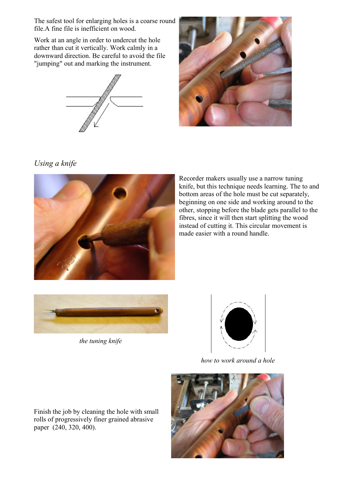The safest tool for enlarging holes is a coarse round file.A fine file is inefficient on wood.

Work at an angle in order to undercut the hole rather than cut it vertically. Work calmly in a downward direction. Be careful to avoid the file "jumping" out and marking the instrument.





*Using a knife*



Recorder makers usually use a narrow tuning knife, but this technique needs learning. The to and bottom areas of the hole must be cut separately, beginning on one side and working around to the other, stopping before the blade gets parallel to the fibres, since it will then start splitting the wood instead of cutting it. This circular movement is made easier with a round handle.



*the tuning knife*



*how to work around a hole*

Finish the job by cleaning the hole with small rolls of progressively finer grained abrasive paper (240, 320, 400).

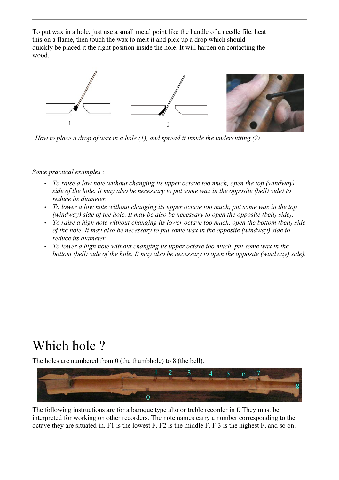To put wax in a hole, just use a small metal point like the handle of a needle file. heat this on a flame, then touch the wax to melt it and pick up a drop which should quickly be placed it the right position inside the hole. It will harden on contacting the wood.



*How to place a drop of wax in a hole (1), and spread it inside the undercutting (2).*

#### *Some practical examples :*

- *To raise a low note without changing its upper octave too much, open the top (windway) side of the hole. It may also be necessary to put some wax in the opposite (bell) side) to reduce its diameter.*
- *To lower a low note without changing its upper octave too much, put some wax in the top (windway) side of the hole. It may be also be necessary to open the opposite (bell) side).*
- *To raise a high note without changing its lower octave too much, open the bottom (bell) side of the hole. It may also be necessary to put some wax in the opposite (windway) side to reduce its diameter.*
- *To lower a high note without changing its upper octave too much, put some wax in the bottom (bell) side of the hole. It may also be necessary to open the opposite (windway) side).*

## Which hole ?

The holes are numbered from 0 (the thumbhole) to 8 (the bell).



The following instructions are for a baroque type alto or treble recorder in f. They must be interpreted for working on other recorders. The note names carry a number corresponding to the octave they are situated in. F1 is the lowest F, F2 is the middle F, F 3 is the highest F, and so on.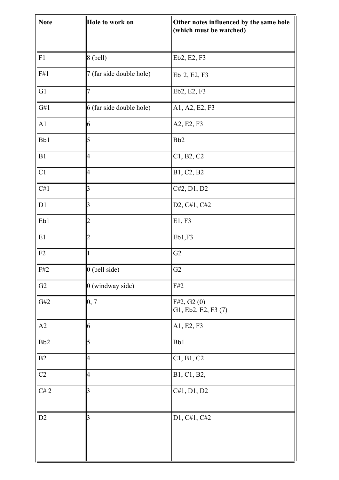| <b>Note</b>     | Hole to work on          | Other notes influenced by the same hole<br>(which must be watched) |
|-----------------|--------------------------|--------------------------------------------------------------------|
| F1              | $ 8$ (bell)              | Eb2, E2, F3                                                        |
| F#1             | 7 (far side double hole) | $EB$ 2, E2, F3                                                     |
| G1              | 7                        | Eb2, E2, F3                                                        |
| G#1             | 6 (far side double hole) | A1, A2, E2, F3                                                     |
|                 |                          |                                                                    |
| A1              | $\vert 6 \vert$          | A2, E2, F3                                                         |
| Bb1             | 5                        | B <sub>b2</sub>                                                    |
| B1              | 4                        | C1, B2, C2                                                         |
| C1              | 4                        | B1, C2, B2                                                         |
| C#1             | 3                        | C#2, D1, D2                                                        |
| D1              | 3                        | D2, C#1, C#2                                                       |
| Eb1             | 2                        | E1, F3                                                             |
| E1              | $\overline{2}$           | EB1,F3                                                             |
| F2              | П                        | $\overline{G2}$                                                    |
| $F#2$           | $ 0$ (bell side)         | $\overline{G2}$                                                    |
| G2              | $0$ (windway side)       | F#2                                                                |
| $\textrm{G}\#2$ | $\vert 0, 7 \vert$       | $F#2$ , G2 $(0)$<br> G1, Eb2, E2, F3(7)                            |
| A2              | $ 6\rangle$              | A1, E2, F3                                                         |
| Bb <sub>2</sub> | $\overline{5}$           | Bb1                                                                |
| B2              | 4                        | C1, B1, C2                                                         |
| $\rm{C2}$       | 4                        | B1, C1, B2,                                                        |
| C# 2            | 3                        | C#1, D1, D2                                                        |
| D2              | $\vert$ 3                | D1, C#1, C#2                                                       |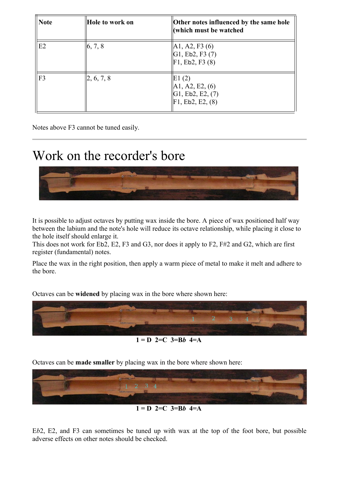| <b>Note</b> | Hole to work on | Other notes influenced by the same hole<br>(which must be watched   |
|-------------|-----------------|---------------------------------------------------------------------|
| E2          | 6, 7, 8         | A1, A2, F3(6) <br>$\vert G1, Eb2, F3(7) \vert$<br>F1, Eb2, F3(8)    |
| F3          | 2, 6, 7, 8      | E1(2)<br> A1, A2, E2, (6)<br> G1, Eb2, E2, (7) <br>F1, Eb2, E2, (8) |

Notes above F3 cannot be tuned easily.

## Work on the recorder's bore



It is possible to adjust octaves by putting wax inside the bore. A piece of wax positioned half way between the labium and the note's hole will reduce its octave relationship, while placing it close to the hole itself should enlarge it.

This does not work for Eb2, E2, F3 and G3, nor does it apply to F2, F#2 and G2, which are first register (fundamental) notes.

Place the wax in the right position, then apply a warm piece of metal to make it melt and adhere to the bore.

Octaves can be **widened** by placing wax in the bore where shown here:



**1 = D 2=C 3=B***b* **4=A** 

Octaves can be **made smaller** by placing wax in the bore where shown here:



E*b*2, E2, and F3 can sometimes be tuned up with wax at the top of the foot bore, but possible adverse effects on other notes should be checked.